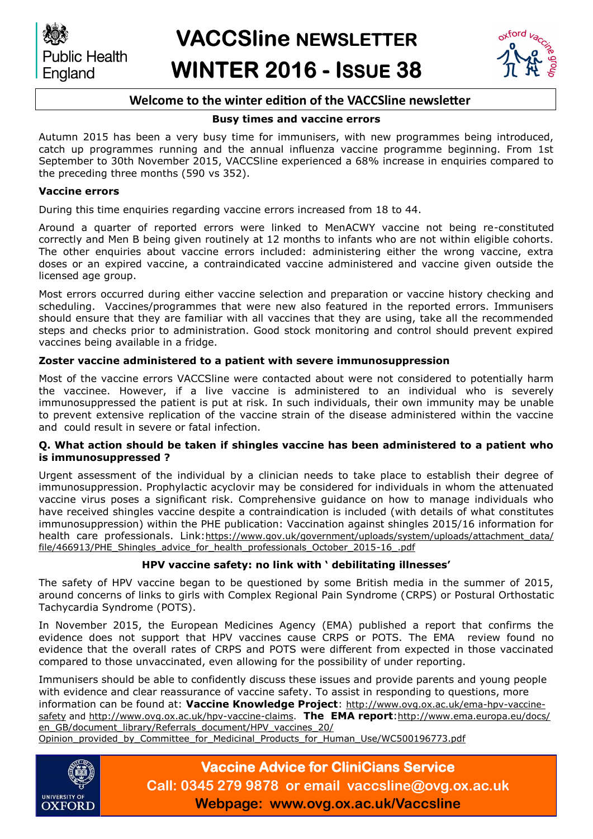



## **Welcome to the winter edition of the VACCSline newsletter**

### **Busy times and vaccine errors**

Autumn 2015 has been a very busy time for immunisers, with new programmes being introduced, catch up programmes running and the annual influenza vaccine programme beginning. From 1st September to 30th November 2015, VACCSline experienced a 68% increase in enquiries compared to the preceding three months (590 vs 352).

### **Vaccine errors**

During this time enquiries regarding vaccine errors increased from 18 to 44.

Around a quarter of reported errors were linked to MenACWY vaccine not being re-constituted correctly and Men B being given routinely at 12 months to infants who are not within eligible cohorts. The other enquiries about vaccine errors included: administering either the wrong vaccine, extra doses or an expired vaccine, a contraindicated vaccine administered and vaccine given outside the licensed age group.

Most errors occurred during either vaccine selection and preparation or vaccine history checking and scheduling. Vaccines/programmes that were new also featured in the reported errors. Immunisers should ensure that they are familiar with all vaccines that they are using, take all the recommended steps and checks prior to administration. Good stock monitoring and control should prevent expired vaccines being available in a fridge.

### **Zoster vaccine administered to a patient with severe immunosuppression**

Most of the vaccine errors VACCSline were contacted about were not considered to potentially harm the vaccinee. However, if a live vaccine is administered to an individual who is severely immunosuppressed the patient is put at risk. In such individuals, their own immunity may be unable to prevent extensive replication of the vaccine strain of the disease administered within the vaccine and could result in severe or fatal infection.

### **Q. What action should be taken if shingles vaccine has been administered to a patient who is immunosuppressed ?**

Urgent assessment of the individual by a clinician needs to take place to establish their degree of immunosuppression. Prophylactic acyclovir may be considered for individuals in whom the attenuated vaccine virus poses a significant risk. Comprehensive guidance on how to manage individuals who have received shingles vaccine despite a contraindication is included (with details of what constitutes immunosuppression) within the PHE publication: Vaccination against shingles 2015/16 information for health care professionals. Link:[https://www.gov.uk/government/uploads/system/uploads/attachment\\_data/](https://www.gov.uk/government/uploads/system/uploads/attachment_data/file/466913/PHE_Shingles_advice_for_health_professionals_October_2015-16_.pdf) [file/466913/PHE\\_Shingles\\_advice\\_for\\_health\\_professionals\\_October\\_2015-16\\_.pdf](https://www.gov.uk/government/uploads/system/uploads/attachment_data/file/466913/PHE_Shingles_advice_for_health_professionals_October_2015-16_.pdf)

### **HPV vaccine safety: no link with ' debilitating illnesses'**

The safety of HPV vaccine began to be questioned by some British media in the summer of 2015, around concerns of links to girls with Complex Regional Pain Syndrome (CRPS) or Postural Orthostatic Tachycardia Syndrome (POTS).

In November 2015, the European Medicines Agency (EMA) published a report that confirms the evidence does not support that HPV vaccines cause CRPS or POTS. The EMA review found no evidence that the overall rates of CRPS and POTS were different from expected in those vaccinated compared to those unvaccinated, even allowing for the possibility of under reporting.

Immunisers should be able to confidently discuss these issues and provide parents and young people with evidence and clear reassurance of vaccine safety. To assist in responding to questions, more information can be found at: **Vaccine Knowledge Project**: [http://www.ovg.ox.ac.uk/ema-hpv-vaccine](http://www.ovg.ox.ac.uk/ema-hpv-vaccine-safety)[safety](http://www.ovg.ox.ac.uk/ema-hpv-vaccine-safety) and [http://www.ovg.ox.ac.uk/hpv-vaccine-claims.](http://www.ovg.ox.ac.uk/hpv-vaccine-claims) **The EMA report**:[http://www.ema.europa.eu/docs/](http://www.ema.europa.eu/docs/en_GB/document_library/Referrals_document/HPV_vaccines_20/Opinion_provided_by_Committee_for_Medicinal_Products_for_Human_Use/WC500196773.pdf) [en\\_GB/document\\_library/Referrals\\_document/HPV\\_vaccines\\_20/](http://www.ema.europa.eu/docs/en_GB/document_library/Referrals_document/HPV_vaccines_20/Opinion_provided_by_Committee_for_Medicinal_Products_for_Human_Use/WC500196773.pdf) [Opinion\\_provided\\_by\\_Committee\\_for\\_Medicinal\\_Products\\_for\\_Human\\_Use/WC500196773.pdf](http://www.ema.europa.eu/docs/en_GB/document_library/Referrals_document/HPV_vaccines_20/Opinion_provided_by_Committee_for_Medicinal_Products_for_Human_Use/WC500196773.pdf)



# **Vaccine Advice for CliniCians Service Call: 0345 279 9878 or email vaccsline@ovg.ox.ac.uk Webpage: www.ovg.ox.ac.uk/Vaccsline**